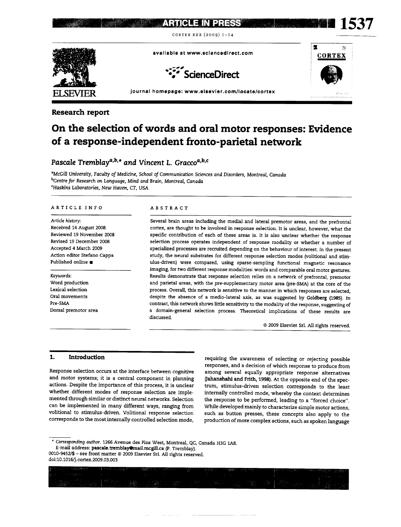

# **Research report**

# On the selection of words and oral motor responses: Evidence of a response-independent fronto-parietal network

# Pascale Tremblay<sup>a,b,\*</sup> and Vincent L. Gracco<sup>a,b,c</sup>

<sup>a</sup>McGill University, Faculty of Medicine, School of Communication Sciences and Disorders, Montreal, Canada <sup>b</sup>Centre for Research on Language, Mind and Brain, Montreal, Canada <sup>c</sup>Haskins Laboratories, New Haven, CT, USA

#### ARTICLE INFO

Article history: Received 14 August 2008 Reviewed 19 November 2008 Revised 19 December 2008 Accepted 4 March 2009 Action editor Stefano Cappa Published online ■

Keywords: Word production Lexical selection Oral movements Pre-SMA Dorsal premotor area

#### ABSTRACT

Several brain areas including the medial and lateral premotor areas, and the prefrontal cortex, are thought to be involved in response selection. It is unclear, however, what the specific contribution of each of these areas is. It is also unclear whether the response selection process operates independent of response modality or whether a number of specialized processes are recruited depending on the behaviour of interest. In the present study, the neural substrates for different response selection modes (volitional and stimulus-driven) were compared, using sparse-sampling functional magnetic resonance imaging, for two different response modalities: words and comparable oral motor gestures. Results demonstrate that response selection relies on a network of prefrontal, premotor and parietal areas, with the pre-supplementary motor area (pre-SMA) at the core of the process. Overall, this network is sensitive to the manner in which responses are selected, despite the absence of a medio-lateral axis, as was suggested by Goldberg (1985). In contrast, this network shows little sensitivity to the modality of the response, suggesting of a domain-general selection process. Theoretical implications of these results are discussed.

@ 2009 Elsevier Srl. All rights reserved.

#### $\mathbf{1}$ Introduction

Response selection occurs at the interface between cognitive and motor systems; it is a central component in planning actions. Despite the importance of this process, it is unclear whether different modes of response selection are implemented through similar or distinct neural networks. Selection can be implemented in many different ways, ranging from volitional to stimulus-driven. Volitional response selection corresponds to the most internally controlled selection mode,

requiring the awareness of selecting or rejecting possible responses, and a decision of which response to produce from among several equally appropriate response alternatives (Jahanshahi and Frith, 1998). At the opposite end of the spectrum, stimulus-driven selection corresponds to the least internally controlled mode, whereby the context determines the response to be performed, leading to a "forced choice". While developed mainly to characterize simple motor actions, such as button presses, these concepts also apply to the production of more complex actions, such as spoken language

<sup>\*</sup> Corresponding author. 1266 Avenue des Pins West, Montreal, QC, Canada H3G 1A8. E-mail address: pascale.tremblay@mail.mcgill.ca (P. Tremblay).

<sup>0010-9452/\$ -</sup> see front matter @ 2009 Elsevier Srl. All rights reserved. doi:10.1016/j.cortex.2009.03.003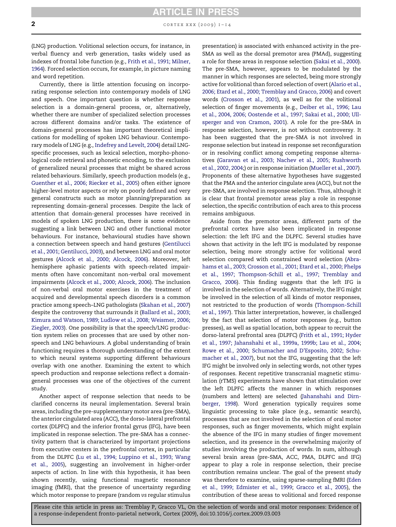**2 c** or t ex x x x (2009)  $I-I4$ 

(LNG) production. Volitional selection occurs, for instance, in verbal fluency and verb generation, tasks widely used as indexes of frontal lobe function (e.g., [Frith et al., 1991; Milner,](#page-12-0) [1964\)](#page-12-0). Forced selection occurs, for example, in picture naming and word repetition.

Currently, there is little attention focusing on incorporating response selection into contemporary models of LNG and speech. One important question is whether response selection is a domain-general process, or, alternatively, whether there are number of specialized selection processes across different domains and/or tasks. The existence of domain-general processes has important theoretical implications for modelling of spoken LNG behaviour. Contemporary models of LNG (e.g., [Indefrey and Levelt, 2004\)](#page-12-0) detail LNGspecific processes, such as lexical selection, morpho-phonological code retrieval and phonetic encoding, to the exclusion of generalized neural processes that might be shared across related behaviours. Similarly, speech production models (e.g., [Guenther et al., 2006; Riecker et al., 2005](#page-12-0)) often either ignore higher-level motor aspects or rely on poorly defined and very general constructs such as motor planning/preparation as representing domain-general processes. Despite the lack of attention that domain-general processes have received in models of spoken LNG production, there is some evidence suggesting a link between LNG and other functional motor behaviours. For instance, behavioural studies have shown a connection between speech and hand gestures [\(Gentilucci](#page-12-0) [et al., 2001; Gentilucci, 2003](#page-12-0)), and between LNG and oral motor gestures [\(Alcock et al., 2000; Alcock, 2006](#page-11-0)). Moreover, left hemisphere aphasic patients with speech-related impairments often have concomitant non-verbal oral movement impairments ([Alcock et al., 2000; Alcock, 2006\)](#page-11-0). The inclusion of non-verbal oral motor exercises in the treatment of acquired and developmental speech disorders is a common practice among speech–LNG pathologists ([Skahan et al., 2007\)](#page-13-0) despite the controversy that surrounds it ([Ballard et al., 2003;](#page-11-0) [Kimura and Watson, 1989; Ludlow et al., 2008; Weismer, 2006;](#page-11-0) [Ziegler, 2003](#page-11-0)). One possibility is that the speech/LNG production system relies on processes that are used by other nonspeech and LNG behaviours. A global understanding of brain functioning requires a thorough understanding of the extent to which neural systems supporting different behaviours overlap with one another. Examining the extent to which speech production and response selections reflect a domaingeneral processes was one of the objectives of the current study.

Another aspect of response selection that needs to be clarified concerns its neural implementation. Several brain areas, including the pre-supplementary motor area (pre-SMA), the anterior cingulated area (ACC), the dorso-lateral prefrontal cortex (DLPFC) and the inferior frontal gyrus (IFG), have been implicated in response selection. The pre-SMA has a connectivity pattern that is characterized by important projections from executive centers in the prefrontal cortex, in particular from the DLPFC ([Lu et al., 1994; Luppino et al., 1993; Wang](#page-12-0) [et al., 2005](#page-12-0)), suggesting an involvement in higher-order aspects of action. In line with this hypothesis, it has been shown recently, using functional magnetic resonance imaging (fMRI), that the presence of uncertainty regarding which motor response to prepare (random vs regular stimulus presentation) is associated with enhanced activity in the pre-SMA as well as the dorsal premotor area (PMAd), suggesting a role for these areas in response selection ([Sakai et al., 2000\)](#page-13-0). The pre-SMA, however, appears to be modulated by the manner in which responses are selected, being more strongly active for volitional than forced selection of overt [\(Alario et al.,](#page-11-0) [2006; Etard et al., 2000; Tremblay and Gracco, 2006\)](#page-11-0) and covert words [\(Crosson et al., 2001](#page-11-0)), as well as for the volitional selection of finger movements (e.g., [Deiber et al., 1996; Lau](#page-11-0) [et al., 2004, 2006; Oostende et al., 1997; Sakai et al., 2000; Ull](#page-11-0)[sperger and von Cramon, 2001](#page-11-0)). A role for the pre-SMA in response selection, however, is not without controversy. It has been suggested that the pre-SMA is not involved in response selection but instead in response set reconfiguration or in resolving conflict among competing response alternatives [\(Garavan et al., 2003; Nachev et al., 2005; Rushworth](#page-12-0) [et al., 2002, 2004](#page-12-0);) or in response initiation ([Mueller et al., 2007\)](#page-12-0). Proponents of these alternative hypotheses have suggested that the PMA and the anterior cingulate area (ACC), but not the pre-SMA, are involved in response selection. Thus, although it is clear that frontal premotor areas play a role in response selection, the specific contribution of each area to this process remains ambiguous.

Aside from the premotor areas, different parts of the prefrontal cortex have also been implicated in response selection: the left IFG and the DLPFC. Several studies have shown that activity in the left IFG is modulated by response selection, being more strongly active for volitional word selection compared with constrained word selection ([Abra](#page-11-0)[hams et al., 2003; Crosson et al., 2001; Etard et al., 2000; Phelps](#page-11-0) [et al., 1997; Thompson-Schill et al., 1997; Tremblay and](#page-11-0) [Gracco, 2006](#page-11-0)). This finding suggests that the left IFG is involved in the selection of words. Alternatively, the IFG might be involved in the selection of all kinds of motor responses, not restricted to the production of words [\(Thompson-Schill](#page-13-0) [et al., 1997](#page-13-0)). This latter interpretation, however, is challenged by the fact that selection of motor responses (e.g., button presses), as well as spatial location, both appear to recruit the dorso-lateral prefrontal area (DLPFC) ([Frith et al., 1991; Hyder](#page-12-0) [et al., 1997; Jahanshahi et al., 1999a, 1999b; Lau et al., 2004](#page-12-0); [Rowe et al., 2000; Schumacher and D'Esposito, 2002; Schu](#page-13-0)[macher et al., 2007](#page-13-0)), but not the IFG, suggesting that the left IFG might be involved only in selecting words, not other types of responses. Recent repetitive transcranial magnetic stimulation (rTMS) experiments have shown that stimulation over the left DLPFC affects the manner in which responses (numbers and letters) are selected ([Jahanshahi and Dirn](#page-12-0)[berger, 1998](#page-12-0)). Word generation typically requires some linguistic processing to take place (e.g., semantic search), processes that are not involved in the selection of oral motor responses, such as finger movements, which might explain the absence of the IFG in many studies of finger movement selection, and its presence in the overwhelming majority of studies involving the production of words. In sum, although several brain areas (pre-SMA, ACC, PMA, DLPFC and IFG) appear to play a role in response selection, their precise contribution remains unclear. The goal of the present study was therefore to examine, using sparse-sampling fMRI [\(Eden](#page-11-0) [et al., 1999; Edmister et al., 1999;](#page-11-0) [Gracco et al., 2005\)](#page-12-0), the contribution of these areas to volitional and forced response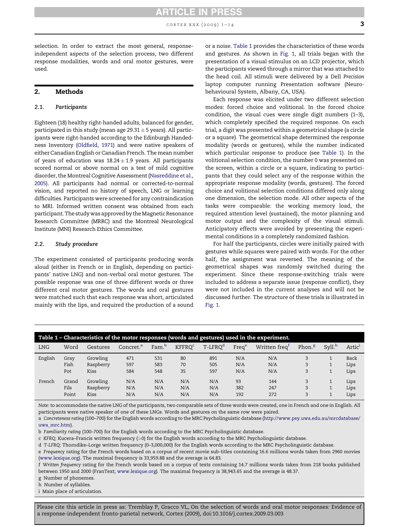$C$  ORTEX XXX (2009)  $I-I$  4 3

selection. In order to extract the most general, responseindependent aspects of the selection process, two different response modalities, words and oral motor gestures, were used.

### 2. Methods

#### 2.1. Participants

Eighteen (18) healthy right-handed adults, balanced for gender, participated in this study (mean age  $29.31 \pm 5$  years). All participants were right-handed according to the Edinburgh Handedness Inventory ([Oldfield, 1971\)](#page-13-0) and were native speakers of either Canadian English or Canadian French. The mean number of years of education was  $18.24 \pm 1.9$  years. All participants scored normal or above normal on a test of mild cognitive disorder, the Montreal Cognitive Assessment [\(Nasreddine et al.,](#page-13-0) [2005](#page-13-0)). All participants had normal or corrected-to-normal vision, and reported no history of speech, LNG or learning difficulties. Participants were screened for any contraindication to MRI. Informed written consent was obtained from each participant. The study was approved by the Magnetic Resonance Research Committee (MRRC) and the Montreal Neurological Institute (MNI) Research Ethics Committee.

#### 2.2. Study procedure

The experiment consisted of participants producing words aloud (either in French or in English, depending on participants' native LNG) and non-verbal oral motor gestures. The possible response was one of three different words or three different oral motor gestures. The words and oral gestures were matched such that each response was short, articulated mainly with the lips, and required the production of a sound or a noise. [Table 1](#page-2-0) provides the characteristics of these words and gestures. As shown in [Fig. 1](#page-3-0), all trials began with the presentation of a visual stimulus on an LCD projector, which the participants viewed through a mirror that was attached to the head coil. All stimuli were delivered by a Dell Precision laptop computer running Presentation software (Neurobehavioural System, Albany, CA, USA).

Each response was elicited under two different selection modes: forced choice and volitional. In the forced choice condition, the visual cues were single digit numbers (1–3), which completely specified the required response. On each trial, a digit was presented within a geometrical shape (a circle or a square). The geometrical shape determined the response modality (words or gestures), while the number indicated which particular response to produce (see [Table 1\)](#page-2-0). In the volitional selection condition, the number 0 was presented on the screen, within a circle or a square, indicating to participants that they could select any of the response within the appropriate response modality (words, gestures). The forced choice and volitional selection conditions differed only along one dimension, the selection mode. All other aspects of the tasks were comparable: the working memory load, the required attention level (sustained), the motor planning and motor output and the complexity of the visual stimuli. Anticipatory effects were avoided by presenting the experimental conditions in a completely randomized fashion.

For half the participants, circles were initially paired with gestures while squares were paired with words. For the other half, the assignment was reversed. The meaning of the geometrical shapes was randomly switched during the experiment. Since these response-switching trials were included to address a separate issue (response conflict), they were not included in the current analyses and will not be discussed further. The structure of these trials is illustrated in [Fig. 1](#page-3-0).

| Table 1 - Characteristics of the motor responses (words and gestures) used in the experiment. |               |                       |                       |                   |                           |            |                   |                           |                    |                    |                    |
|-----------------------------------------------------------------------------------------------|---------------|-----------------------|-----------------------|-------------------|---------------------------|------------|-------------------|---------------------------|--------------------|--------------------|--------------------|
| <b>LNG</b>                                                                                    | Word          | Gestures              | Concret. <sup>a</sup> | Fam. <sup>b</sup> | <b>KFFRO</b> <sup>c</sup> | $T-LFROd$  | Freq <sup>e</sup> | Written freg <sup>t</sup> | Phon. <sup>g</sup> | Syll. <sup>h</sup> | Artic <sup>1</sup> |
| English                                                                                       | Gray<br>Fish  | Growling<br>Raspberry | 471<br>597            | 531<br>583        | 80<br>70                  | 891<br>505 | N/A<br>N/A        | N/A<br>N/A                | 3<br>3             |                    | Back<br>Lips       |
| French                                                                                        | Pot<br>Grand  | Kiss<br>Growling      | 584<br>N/A            | 548<br>N/A        | 35<br>N/A                 | 597<br>N/A | N/A<br>93         | N/A<br>144                | 3<br>3             | $\mathbf{1}$       | Lips<br>Lips       |
|                                                                                               | Fils<br>Point | Raspberry<br>Kiss     | N/A<br>N/A            | N/A<br>N/A        | N/A<br>N/A                | N/A<br>N/A | 382<br>192        | 247<br>272                | 3<br>3             | $\mathbf{1}$       | Lips<br>Lips       |

Note: to accommodate the native LNG of the participants, two comparable sets of three words were created, one in French and one in English. All participants were native speaker of one of these LNGs. Words and gestures on the same row were paired.

a Concreteness rating (100–700) for the English words according to the MRC Psycholinguistic database [\(http://www.psy.uwa.edu.au/mrcdatabase/](http://www.psy.uwa.edu.au/mrcdatabase/uwa_mrc.htm) [uwa\\_mrc.htm\)](http://www.psy.uwa.edu.au/mrcdatabase/uwa_mrc.htm).

b Familiarity rating (100–700) for the English words according to the MRC Psycholinguistic database.

c KFRQ: Kucera–Francis written frequency (>0) for the English words according to the MRC Psycholinguistic database.

d T-LFRQ: Thorndike–Lorge written frequency (0–3,000,000) for the English words according to the MRC Psycholinguistic database.

e Frequency rating for the French words based on a corpus of recent movie sub-titles containing 16.6 millions words taken from 2960 movies [\(www.lexique.org](http://www.lexique.org)). The maximal frequency is 33,959.88 and the average is 64.83.

f Written frequency rating for the French words based on a corpus of texts containing 14.7 millions words taken from 218 books published between 1950 and 2000 (FranText; [www.lexique.org\)](http://www.lexique.org). The maximal frequency is 38,943.65 and the average is 48.37.

g Number of phonemes.

h Number of syllables.

<span id="page-2-0"></span>i Main place of articulation.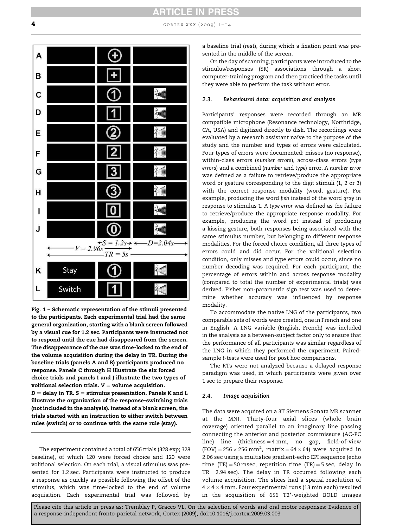**4** cortex xxx (2009)  $I-I4$ 



Fig. 1 – Schematic representation of the stimuli presented to the participants. Each experimental trial had the same general organization, starting with a blank screen followed by a visual cue for 1.2 sec. Participants were instructed not to respond until the cue had disappeared from the screen. The disappearance of the cue was time-locked to the end of the volume acquisition during the delay in TR. During the baseline trials (panels A and B) participants produced no response. Panels C through H illustrate the six forced choice trials and panels I and J illustrate the two types of volitional selection trials.  $V =$  volume acquisition.  $D =$  delay in TR. S = stimulus presentation. Panels K and L illustrate the organization of the response-switching trials (not included in the analysis). Instead of a blank screen, the trials started with an instruction to either switch between rules (switch) or to continue with the same rule (stay).

<span id="page-3-0"></span>The experiment contained a total of 656 trials (328 exp; 328 baseline), of which 120 were forced choice and 120 were volitional selection. On each trial, a visual stimulus was presented for 1.2 sec. Participants were instructed to produce a response as quickly as possible following the offset of the stimulus, which was time-locked to the end of volume acquisition. Each experimental trial was followed by

a baseline trial (rest), during which a fixation point was presented in the middle of the screen.

On the day of scanning, participants were introduced to the stimulus/responses (SR) associations through a short computer-training program and then practiced the tasks until they were able to perform the task without error.

#### 2.3. Behavioural data: acquisition and analysis

Participants' responses were recorded through an MR compatible microphone (Resonance technology, Northridge, CA, USA) and digitized directly to disk. The recordings were evaluated by a research assistant naïve to the purpose of the study and the number and types of errors were calculated. Four types of errors were documented: misses (no response), within-class errors (number errors), across-class errors (type errors) and a combined (number and type) error. A number error was defined as a failure to retrieve/produce the appropriate word or gesture corresponding to the digit stimuli (1, 2 or 3) with the correct response modality (word, gesture). For example, producing the word fish instead of the word gray in response to stimulus 1. A type error was defined as the failure to retrieve/produce the appropriate response modality. For example, producing the word pot instead of producing a kissing gesture, both responses being associated with the same stimulus number, but belonging to different response modalities. For the forced choice condition, all three types of errors could and did occur. For the volitional selection condition, only misses and type errors could occur, since no number decoding was required. For each participant, the percentage of errors within and across response modality (compared to total the number of experimental trials) was derived. Fisher non-parametric sign test was used to determine whether accuracy was influenced by response modality.

To accommodate the native LNG of the participants, two comparable sets of words were created, one in French and one in English. A LNG variable (English, French) was included in the analysis as a between-subject factor only to ensure that the performance of all participants was similar regardless of the LNG in which they performed the experiment. Pairedsample t-tests were used for post hoc comparisons.

The RTs were not analyzed because a delayed response paradigm was used, in which participants were given over 1 sec to prepare their response.

### 2.4. Image acquisition

The data were acquired on a 3T Siemens Sonata MR scanner at the MNI. Thirty-four axial slices (whole brain coverage) oriented parallel to an imaginary line passing connecting the anterior and posterior commissure (AC-PC line) line (thickness =  $4 \text{ mm}$ , no gap, field-of-view  $(FOV) = 256 \times 256$  mm<sup>2</sup>, matrix = 64  $\times$  64) were acquired in 2.06 sec using a multislice gradient-echo EPI sequence (echo time (TE) = 50 msec, repetition time (TR) = 5 sec, delay in  $TR = 2.94$  sec). The delay in TR occurred following each volume acquisition. The slices had a spatial resolution of  $4 \times 4 \times 4$  mm. Four experimental runs (13 min each) resulted in the acquisition of 656 T2\*-weighted BOLD images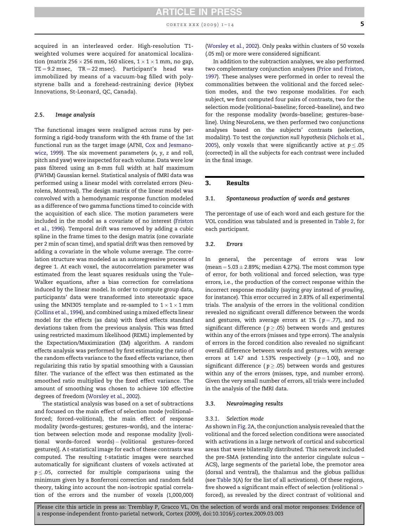$C$  ORTEX XXX (2009)  $I-I$  4

acquired in an interleaved order. High-resolution T1 weighted volumes were acquired for anatomical localization (matrix 256  $\times$  256 mm, 160 slices,  $1 \times 1 \times 1$  mm, no gap,  $TE = 9.2$  msec,  $TR = 22$  msec). Participant's head was immobilized by means of a vacuum-bag filled with polystyrene balls and a forehead-restraining device (Hybex Innovations, St-Leonard, QC, Canada).

#### 2.5. Image analysis

The functional images were realigned across runs by performing a rigid-body transform with the 4th frame of the 1st functional run as the target image (AFNI, [Cox and Jesmano](#page-11-0)[wicz, 1999\)](#page-11-0). The six movement parameters (x, y, z and roll, pitch and yaw) were inspected for each volume. Data were low pass filtered using an 8-mm full width at half maximum (FWHM) Gaussian kernel. Statistical analysis of fMRI data was performed using a linear model with correlated errors (Neurolens, Montreal). The design matrix of the linear model was convolved with a hemodynamic response function modeled as a difference of two gamma functions timed to coincide with the acquisition of each slice. The motion parameters were included in the model as a covariate of no interest ([Friston](#page-12-0) [et al., 1996\)](#page-12-0). Temporal drift was removed by adding a cubic spline in the frame times to the design matrix (one covariate per 2 min of scan time), and spatial drift was then removed by adding a covariate in the whole volume average. The correlation structure was modeled as an autoregressive process of degree 1. At each voxel, the autocorrelation parameter was estimated from the least squares residuals using the Yule– Walker equations, after a bias correction for correlations induced by the linear model. In order to compute group data, participants' data were transformed into stereotaxic space using the MNI305 template and re-sampled to  $1 \times 1 \times 1$  mm [\(Collins et al., 1994\)](#page-11-0), and combined using a mixed effects linear model for the effects (as data) with fixed effects standard deviations taken from the previous analysis. This was fitted using restricted maximum likelihood (REML) implemented by the Expectation/Maximization (EM) algorithm. A random effects analysis was performed by first estimating the ratio of the random effects variance to the fixed effects variance, then regularizing this ratio by spatial smoothing with a Gaussian filter. The variance of the effect was then estimated as the smoothed ratio multiplied by the fixed effect variance. The amount of smoothing was chosen to achieve 100 effective degrees of freedom ([Worsley et al., 2002\)](#page-13-0).

The statistical analysis was based on a set of subtractions and focused on the main effect of selection mode (volitional– forced; forced–volitional), the main effect of response modality (words–gestures; gestures–words), and the interaction between selection mode and response modality [(volitional words–forced words) – (volitional gestures–forced gestures)]. A t-statistical image for each of these contrasts was computed. The resulting t-statistic images were searched automatically for significant clusters of voxels activated at  $p < .05$ , corrected for multiple comparisons using the minimum given by a Bonferroni correction and random field theory, taking into account the non-isotropic spatial correlation of the errors and the number of voxels (1,000,000) [\(Worsley et al., 2002](#page-13-0)). Only peaks within clusters of 50 voxels (.05 ml) or more were considered significant.

In addition to the subtraction analyses, we also performed two complementary conjunction analyses [\(Price and Friston,](#page-13-0) [1997](#page-13-0)). These analyses were performed in order to reveal the commonalities between the volitional and the forced selection modes, and the two response modalities. For each subject, we first computed four pairs of contrasts, two for the selection mode (volitional–baseline; forced–baseline), and two for the response modality (words–baseline; gestures–baseline). Using NeuroLens, we then performed two conjunctions analyses based on the subjects' contrasts (selection, modality). To test the conjunction null hypothesis [\(Nichols et al.,](#page-13-0) [2005](#page-13-0)), only voxels that were significantly active at  $p < .05$ (corrected) in all the subjects for each contrast were included in the final image.

### 3. Results

#### 3.1. Spontaneous production of words and gestures

The percentage of use of each word and each gesture for the VOL condition was tabulated and is presented in [Table 2](#page-5-0), for each participant.

#### 3.2. Errors

In general, the percentage of errors was low (mean  $= 5.03 \pm 2.89\%$ ; median 4.27%). The most common type of error, for both volitional and forced selection, was type errors, i.e., the production of the correct response within the incorrect response modality (saying gray instead of growling, for instance). This error occurred in 2.83% of all experimental trials. The analysis of the errors in the volitional condition revealed no significant overall difference between the words and gestures, with average errors at 1% ( $p = .77$ ), and no significant difference ( $p \ge .05$ ) between words and gestures within any of the errors (misses and type errors). The analysis of errors in the forced condition also revealed no significant overall difference between words and gestures, with average errors at 1.47 and 1.53% respectively ( $p = 1.00$ ), and no significant difference ( $p \ge .05$ ) between words and gestures within any of the errors (misses, type, and number errors). Given the very small number of errors, all trials were included in the analysis of the fMRI data.

#### 3.3. Neuroimaging results

#### 3.3.1. Selection mode

As shown in [Fig. 2](#page-5-0)A, the conjunction analysis revealed that the volitional and the forced selection conditions were associated with activations in a large network of cortical and subcortical areas that were bilaterally distributed. This network included the pre-SMA (extending into the anterior cingulate sulcus – ACS), large segments of the parietal lobe, the premotor area (dorsal and ventral), the thalamus and the globus pallidus (see [Table 3\(](#page-6-0)A) for the list of all activations). Of these regions, five showed a significant main effect of selection (volitional > forced), as revealed by the direct contrast of volitional and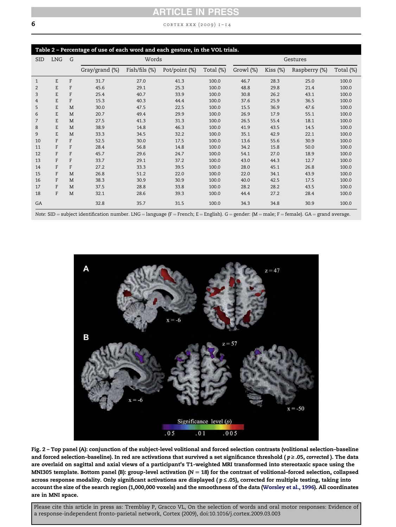# 6 **6 c**  $\alpha$  **c**  $\alpha$  **c**  $\alpha$  **c**  $\alpha$  **c**  $\alpha$  **c**  $\alpha$  **c**  $\alpha$  **c**  $\alpha$  **c**  $\alpha$  **c**  $\alpha$  **c**  $\alpha$  **c**  $\alpha$  **c**  $\alpha$  **c**  $\alpha$  **c**  $\alpha$  **c**  $\alpha$  **c**  $\alpha$  **c**  $\alpha$  **c**  $\alpha$  **c**  $\alpha$  **c**  $\alpha$  **c**  $\alpha$  **c**  $\alpha$  **c**  $\alpha$

| Table 2 - Percentage of use of each word and each gesture, in the VOL trials.                                                                          |              |   |                |                 |               |           |           |             |               |           |  |  |
|--------------------------------------------------------------------------------------------------------------------------------------------------------|--------------|---|----------------|-----------------|---------------|-----------|-----------|-------------|---------------|-----------|--|--|
| <b>SID</b>                                                                                                                                             | <b>LNG</b>   | G | Words          |                 |               |           | Gestures  |             |               |           |  |  |
|                                                                                                                                                        |              |   | Gray/grand (%) | $Fish/fils$ $%$ | Pot/point (%) | Total (%) | Growl (%) | Kiss $(\%)$ | Raspberry (%) | Total (%) |  |  |
| 1                                                                                                                                                      | E            | F | 31.7           | 27.0            | 41.3          | 100.0     | 46.7      | 28.3        | 25.0          | 100.0     |  |  |
| $\overline{2}$                                                                                                                                         | E            | F | 45.6           | 29.1            | 25.3          | 100.0     | 48.8      | 29.8        | 21.4          | 100.0     |  |  |
| 3                                                                                                                                                      | E            | F | 25.4           | 40.7            | 33.9          | 100.0     | 30.8      | 26.2        | 43.1          | 100.0     |  |  |
| $\overline{4}$                                                                                                                                         | E            | F | 15.3           | 40.3            | 44.4          | 100.0     | 37.6      | 25.9        | 36.5          | 100.0     |  |  |
| 5                                                                                                                                                      | E            | M | 30.0           | 47.5            | 22.5          | 100.0     | 15.5      | 36.9        | 47.6          | 100.0     |  |  |
| 6                                                                                                                                                      | E            | M | 20.7           | 49.4            | 29.9          | 100.0     | 26.9      | 17.9        | 55.1          | 100.0     |  |  |
| 7                                                                                                                                                      | E            | M | 27.5           | 41.3            | 31.3          | 100.0     | 26.5      | 55.4        | 18.1          | 100.0     |  |  |
| 8                                                                                                                                                      | E            | M | 38.9           | 14.8            | 46.3          | 100.0     | 41.9      | 43.5        | 14.5          | 100.0     |  |  |
| 9                                                                                                                                                      | E            | M | 33.3           | 34.5            | 32.2          | 100.0     | 35.1      | 42.9        | 22.1          | 100.0     |  |  |
| 10                                                                                                                                                     | F            | F | 52.5           | 30.0            | 17.5          | 100.0     | 13.6      | 55.6        | 30.9          | 100.0     |  |  |
| 11                                                                                                                                                     | F            | F | 28.4           | 56.8            | 14.8          | 100.0     | 34.2      | 15.8        | 50.0          | 100.0     |  |  |
| 12                                                                                                                                                     | F            | F | 45.7           | 29.6            | 24.7          | 100.0     | 54.1      | 27.0        | 18.9          | 100.0     |  |  |
| 13                                                                                                                                                     | $\mathbf{F}$ | F | 33.7           | 29.1            | 37.2          | 100.0     | 43.0      | 44.3        | 12.7          | 100.0     |  |  |
| 14                                                                                                                                                     | F            | F | 27.2           | 33.3            | 39.5          | 100.0     | 28.0      | 45.1        | 26.8          | 100.0     |  |  |
| 15                                                                                                                                                     | $\mathbf{F}$ | M | 26.8           | 51.2            | 22.0          | 100.0     | 22.0      | 34.1        | 43.9          | 100.0     |  |  |
| 16                                                                                                                                                     | F            | M | 38.3           | 30.9            | 30.9          | 100.0     | 40.0      | 42.5        | 17.5          | 100.0     |  |  |
| 17                                                                                                                                                     | F            | M | 37.5           | 28.8            | 33.8          | 100.0     | 28.2      | 28.2        | 43.5          | 100.0     |  |  |
| 18                                                                                                                                                     | $\mathbf{F}$ | M | 32.1           | 28.6            | 39.3          | 100.0     | 44.4      | 27.2        | 28.4          | 100.0     |  |  |
| GA                                                                                                                                                     |              |   | 32.8           | 35.7            | 31.5          | 100.0     | 34.3      | 34.8        | 30.9          | 100.0     |  |  |
| Note: SID = subject identification number. LNG = language ( $F =$ French; $E =$ English). G = gender: ( $M =$ male; $F =$ female). GA = grand average. |              |   |                |                 |               |           |           |             |               |           |  |  |



<span id="page-5-0"></span>Fig. 2 – Top panel (A): conjunction of the subject-level volitional and forced selection contrasts (volitional selection–baseline and forced selection-baseline). In red are activations that survived a set significance threshold ( $p \ge 0.05$ , corrected). The data are overlaid on sagittal and axial views of a participant's T1-weighted MRI transformed into stereotaxic space using the MNI305 template. Bottom panel (B): group-level activation ( $N = 18$ ) for the contrast of volitional-forced selection, collapsed across response modality. Only significant activations are displayed ( $p \le 0.05$ ), corrected for multiple testing, taking into account the size of the search region (1,000,000 voxels) and the smoothness of the data [\(Worsley et al., 1996\)](#page-13-0). All coordinates are in MNI space.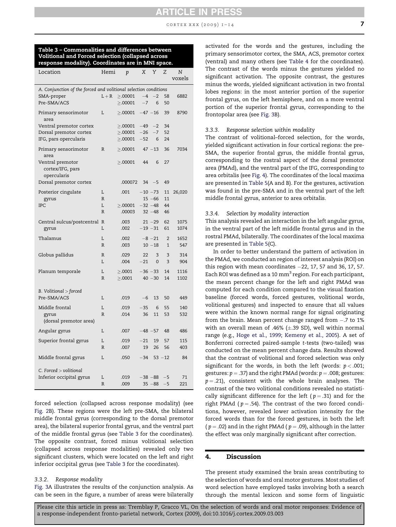# $C$  ORTEX XXX (2009) 1-14

Table 3 – Commonalities and differences between Volitional and Forced selection (collapsed across response modality). Coordinates are in MNI space.

| Location                                                         | Hemi         | p             | X          | Y         | Z              | N      |  |  |  |  |
|------------------------------------------------------------------|--------------|---------------|------------|-----------|----------------|--------|--|--|--|--|
|                                                                  |              |               |            |           |                | voxels |  |  |  |  |
| A. Conjunction of the forced and volitional selection conditions |              |               |            |           |                |        |  |  |  |  |
| SMA-proper                                                       | $L + R$      | $\geq$ .00001 | $-4$       | $-2$      | 58             | 6882   |  |  |  |  |
| Pre-SMA/ACS                                                      |              | $\geq$ .00001 | $-7$       | 6         | 50             |        |  |  |  |  |
| Primary sensorimotor<br>area                                     | L            | $\geq$ .00001 | $-47 - 16$ |           | 39             | 8790   |  |  |  |  |
| Ventral premotor cortex                                          |              | $\geq$ .00001 | $-49$      | $-2$      | 34             |        |  |  |  |  |
| Dorsal premotor cortex                                           |              | $\geq$ .00001 | $-26$      | $-7$      | 52             |        |  |  |  |  |
| IFG, pars opercularis                                            |              | $\geq$ .00001 | $-52$      | 6         | 24             |        |  |  |  |  |
| Primary sensorimotor<br>area                                     | R            | $\geq$ .00001 |            | $47 - 13$ | 36             | 7034   |  |  |  |  |
| Ventral premotor<br>cortex/IFG, pars<br>opercularis              |              | $\geq$ .00001 | 44         | 6         | 27             |        |  |  |  |  |
| Dorsal premotor cortex                                           |              | .000072       | 34         | $-5$      | 49             |        |  |  |  |  |
| Posterior cingulate                                              | L            | .001          | $-10 - 73$ |           | 11             | 26,020 |  |  |  |  |
| gyrus                                                            | R            |               |            | $15 - 66$ | 11             |        |  |  |  |  |
| <b>IPC</b>                                                       | L            | $\geq$ .00001 | $-32 - 48$ |           | 44             |        |  |  |  |  |
|                                                                  | R            | .00003        |            | $32 - 48$ | 46             |        |  |  |  |  |
| Central sulcus/postcentral R                                     |              | .003          |            | $21 - 29$ | 62             | 1075   |  |  |  |  |
| gyrus                                                            | L            | .002          | $-19 - 31$ |           | 61             | 1074   |  |  |  |  |
| Thalamus                                                         | L            | .002          |            | $-8 - 21$ | $\overline{2}$ | 1652   |  |  |  |  |
|                                                                  | $\mathbb{R}$ | .003          |            | $10 - 18$ | $\mathbf{1}$   | 547    |  |  |  |  |
| Globus pallidus                                                  | R            | .029          | 22         | 3         | 3              | 314    |  |  |  |  |
|                                                                  | L            | .004          | $-21$      | $\Omega$  | 3              | 904    |  |  |  |  |
| Planum temporale                                                 | L            | $\geq$ .0001  | $-36 - 33$ |           | 14             | 1116   |  |  |  |  |
|                                                                  | R            | $\geq$ .0001  |            | $40 - 30$ | 14             | 1102   |  |  |  |  |
|                                                                  |              |               |            |           |                |        |  |  |  |  |
| $B.$ Volitional $>$ forced<br>Pre-SMA/ACS                        | L            | .019          | $-6$       | 13        | 50             | 449    |  |  |  |  |
| Middle frontal                                                   | L            | .019          | $-35$      | 6         | 55             | 140    |  |  |  |  |
| gyrus                                                            | $\mathbb{R}$ | .014          | 36         | 11        | 53             | 532    |  |  |  |  |
| (dorsal premotor area)                                           |              |               |            |           |                |        |  |  |  |  |
| Angular gyrus                                                    | L            | .007          | $-48 - 57$ |           | 48             | 486    |  |  |  |  |
| Superior frontal gyrus                                           | L            | .019          | $-21$      | 19        | 57             | 115    |  |  |  |  |
|                                                                  | $\mathbb{R}$ | .007          | 19         | 26        | 56             | 403    |  |  |  |  |
| Middle frontal gyrus                                             | L            | .050          | $-34$      |           | $53 - 12$      | 84     |  |  |  |  |
| $C.$ Forced $>$ volitional                                       |              |               |            |           |                |        |  |  |  |  |
| Inferior occipital gyrus                                         | L            | .019          | $-38 - 88$ |           | -5             | 71     |  |  |  |  |
|                                                                  | R            | .009          |            | $35 - 88$ | $-5$           | 221    |  |  |  |  |
|                                                                  |              |               |            |           |                |        |  |  |  |  |

forced selection (collapsed across response modality) (see [Fig. 2](#page-5-0)B). These regions were the left pre-SMA, the bilateral middle frontal gyrus (corresponding to the dorsal premotor area), the bilateral superior frontal gyrus, and the ventral part of the middle frontal gyrus (see [Table 3](#page-6-0) for the coordinates). The opposite contrast, forced minus volitional selection (collapsed across response modalities) revealed only two significant clusters, which were located on the left and right inferior occipital gyrus (see [Table 3](#page-6-0) for the coordinates).

#### 3.3.2. Response modality

<span id="page-6-0"></span>[Fig. 3A](#page-7-0) illustrates the results of the conjunction analysis. As can be seen in the figure, a number of areas were bilaterally

activated for the words and the gestures, including the primary sensorimotor cortex, the SMA, ACS, premotor cortex (ventral) and many others (see [Table 4](#page-7-0) for the coordinates). The contrast of the words minus the gestures yielded no significant activation. The opposite contrast, the gestures minus the words, yielded significant activation in two frontal lobes regions: in the most anterior portion of the superior frontal gyrus, on the left hemisphere, and on a more ventral portion of the superior frontal gyrus, corresponding to the frontopolar area (see [Fig. 3B](#page-7-0)).

### 3.3.3. Response selection within modality

The contrast of volitional–forced selection, for the words, yielded significant activation in four cortical regions: the pre-SMA, the superior frontal gyrus, the middle frontal gyrus, corresponding to the rostral aspect of the dorsal premotor area (PMAd), and the ventral part of the IFG, corresponding to area orbitalis (see [Fig. 4](#page-8-0)). The coordinates of the local maxima are presented in [Table 5\(](#page-9-0)A and B). For the gestures, activation was found in the pre-SMA and in the ventral part of the left middle frontal gyrus, anterior to area orbitalis.

#### 3.3.4. Selection by modality interaction

This analysis revealed an interaction in the left angular gyrus, in the ventral part of the left middle frontal gyrus and in the rostral PMAd, bilaterally. The coordinates of the local maxima are presented in [Table 5](#page-9-0)(C).

In order to better understand the pattern of activation in the PMAd, we conducted an region of interest analysis (ROI) on this region with mean coordinates  $-22$ , 17, 57 and 36, 17, 57. Each ROI was defined as a 10  $mm<sup>3</sup>$  region. For each participant, the mean percent change for the left and right PMAd was computed for each condition compared to the visual fixation baseline (forced words, forced gestures, volitional words, volitional gestures) and inspected to ensure that all values were within the known normal range for signal originating from the brain. Mean percent change ranged from  $-.7$  to 1% with an overall mean of .46% ( $\pm$ .39 SD), well within normal range (e.g., [Hoge et al., 1999; Kemeny et al., 2005\)](#page-12-0). A set of Bonferroni corrected paired-sample t-tests (two-tailed) was conducted on the mean percent change data. Results showed that the contrast of volitional and forced selection was only significant for the words, in both the left (words:  $p < .001$ ; gestures:  $p = .37$ ) and the right PMAd (words:  $p = .008$ ; gestures:  $p = .21$ ), consistent with the whole brain analyses. The contrast of the two volitional conditions revealed no statistically significant difference for the left ( $p = .31$ ) and for the right PMAd ( $p = .54$ ). The contrast of the two forced conditions, however, revealed lower activation intensity for the forced words than for the forced gestures, in both the left ( $p = .02$ ) and in the right PMAd ( $p = .09$ ), although in the latter the effect was only marginally significant after correction.

### 4. Discussion

The present study examined the brain areas contributing to the selection of words and oral motor gestures. Most studies of word selection have employed tasks involving both a search through the mental lexicon and some form of linguistic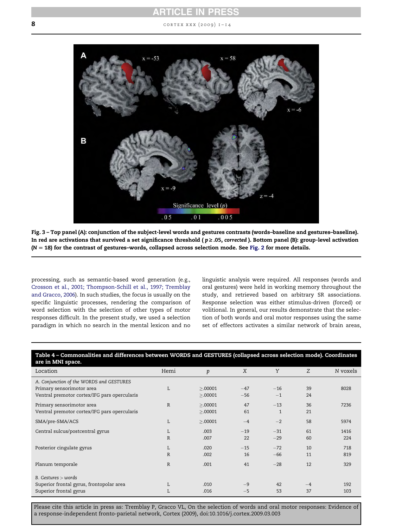

Fig. 3 – Top panel (A): conjunction of the subject-level words and gestures contrasts (words–baseline and gestures–baseline). In red are activations that survived a set significance threshold ( $p \ge 0.05$ , corrected). Bottom panel (B): group-level activation  $(N = 18)$  for the contrast of gestures–words, collapsed across selection mode. See [Fig. 2](#page-5-0) for more details.

processing, such as semantic-based word generation (e.g., [Crosson et al., 2001; Thompson-Schill et al., 1997; Tremblay](#page-11-0) [and Gracco, 2006](#page-11-0)). In such studies, the focus is usually on the specific linguistic processes, rendering the comparison of word selection with the selection of other types of motor responses difficult. In the present study, we used a selection paradigm in which no search in the mental lexicon and no

linguistic analysis were required. All responses (words and oral gestures) were held in working memory throughout the study, and retrieved based on arbitrary SR associations. Response selection was either stimulus-driven (forced) or volitional. In general, our results demonstrate that the selection of both words and oral motor responses using the same set of effectors activates a similar network of brain areas,

<span id="page-7-0"></span>

| Table 4 – Commonalities and differences between WORDS and GESTURES (collapsed across selection mode). Coordinates<br>are in MNI space. |              |                  |       |              |      |          |  |  |  |
|----------------------------------------------------------------------------------------------------------------------------------------|--------------|------------------|-------|--------------|------|----------|--|--|--|
| Location                                                                                                                               | Hemi         | $\boldsymbol{p}$ | X     | Y            | Z    | N voxels |  |  |  |
| A. Conjunction of the WORDS and GESTURES                                                                                               |              |                  |       |              |      |          |  |  |  |
| Primary sensorimotor area                                                                                                              | L            | > 00001          | $-47$ | $-16$        | 39   | 8028     |  |  |  |
| Ventral premotor cortex/IFG pars opercularis                                                                                           |              | > 00001          | $-56$ | $-1$         | 24   |          |  |  |  |
| Primary sensorimotor area                                                                                                              | $\mathbb{R}$ | > 0.00001        | 47    | $-13$        | 36   | 7236     |  |  |  |
| Ventral premotor cortex/IFG pars opercularis                                                                                           |              | > 00001          | 61    | $\mathbf{1}$ | 21   |          |  |  |  |
| SMA/pre-SMA/ACS                                                                                                                        | L            | > 00001          | $-4$  | $-2$         | 58   | 5974     |  |  |  |
| Central sulcus/postcentral gyrus                                                                                                       | L            | .003             | $-19$ | $-31$        | 61   | 1416     |  |  |  |
|                                                                                                                                        | $\mathbb{R}$ | .007             | 22    | $-29$        | 60   | 224      |  |  |  |
| Posterior cingulate gyrus                                                                                                              | L            | .020             | $-15$ | $-72$        | 10   | 718      |  |  |  |
|                                                                                                                                        | $\mathbb{R}$ | .002             | 16    | $-66$        | 11   | 819      |  |  |  |
| Planum temporale                                                                                                                       | R            | .001             | 41    | $-28$        | 12   | 329      |  |  |  |
| B. Gestures $>$ words                                                                                                                  |              |                  |       |              |      |          |  |  |  |
| Superior frontal gyrus, frontopolar area                                                                                               |              | .010             | $-9$  | 42           | $-4$ | 192      |  |  |  |
| Superior frontal gyrus                                                                                                                 |              | .016             | $-5$  | 53           | 37   | 103      |  |  |  |

Table 4 – Commonalities and differences between WORDS and GESTURES (collapsed across selection mode). Coordinates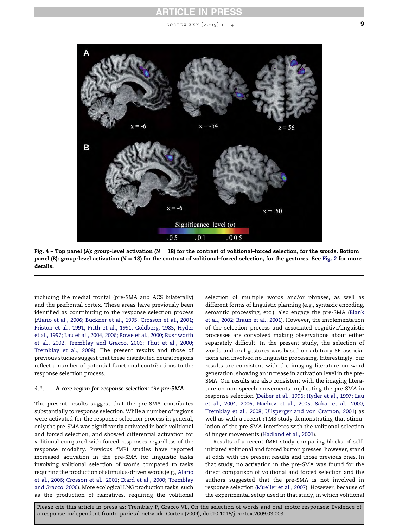### $C$  ORTEX XXX (2009)  $I-I$  4



Fig.  $4$  – Top panel (A): group-level activation (N = 18) for the contrast of volitional-forced selection, for the words. Bottom panel (B): group-level activation ( $N = 18$ ) for the contrast of volitional-forced selection, for the gestures. See [Fig. 2](#page-5-0) for more details.

including the medial frontal (pre-SMA and ACS bilaterally) and the prefrontal cortex. These areas have previously been identified as contributing to the response selection process [\(Alario et al., 2006; Buckner et al., 1995; Crosson et al., 2001;](#page-11-0) [Friston et al., 1991; Frith et al., 1991; Goldberg, 1985;](#page-11-0) [Hyder](#page-12-0) [et al., 1997; Lau et al., 2004, 2006; Rowe et al., 2000; Rushworth](#page-12-0) [et al., 2002; Tremblay and Gracco, 2006; Thut et al., 2000;](#page-12-0) [Tremblay et al., 2008\)](#page-12-0). The present results and those of previous studies suggest that these distributed neural regions reflect a number of potential functional contributions to the response selection process.

### 4.1. A core region for response selection: the pre-SMA

<span id="page-8-0"></span>The present results suggest that the pre-SMA contributes substantially to response selection. While a number of regions were activated for the response selection process in general, only the pre-SMA was significantly activated in both volitional and forced selection, and showed differential activation for volitional compared with forced responses regardless of the response modality. Previous fMRI studies have reported increased activation in the pre-SMA for linguistic tasks involving volitional selection of words compared to tasks requiring the production of stimulus-driven words (e.g., [Alario](#page-11-0) [et al., 2006; Crosson et al., 2001;](#page-11-0) [Etard et al., 2000](#page-11-0); [Tremblay](#page-13-0) [and Gracco, 2006\)](#page-13-0). More ecological LNG production tasks, such as the production of narratives, requiring the volitional selection of multiple words and/or phrases, as well as different forms of linguistic planning (e.g., syntaxic encoding, semantic processing, etc.), also engage the pre-SMA ([Blank](#page-11-0) [et al., 2002; Braun et al., 2001\)](#page-11-0). However, the implementation of the selection process and associated cognitive/linguistic processes are convolved making observations about either separately difficult. In the present study, the selection of words and oral gestures was based on arbitrary SR associations and involved no linguistic processing. Interestingly, our results are consistent with the imaging literature on word generation, showing an increase in activation level in the pre-SMA. Our results are also consistent with the imaging literature on non-speech movements implicating the pre-SMA in response selection ([Deiber et al., 1996; Hyder et al., 1997; Lau](#page-11-0) [et al., 2004, 2006; Nachev et al., 2005; Sakai et al., 2000;](#page-11-0) [Tremblay et al., 2008; Ullsperger and von Cramon, 2001](#page-11-0)) as well as with a recent rTMS study demonstrating that stimulation of the pre-SMA interferes with the volitional selection of finger movements ([Hadland et al., 2001\)](#page-12-0).

Results of a recent fMRI study comparing blocks of selfinitiated volitional and forced button presses, however, stand at odds with the present results and those previous ones. In that study, no activation in the pre-SMA was found for the direct comparison of volitional and forced selection and the authors suggested that the pre-SMA is not involved in response selection [\(Mueller et al., 2007](#page-12-0)). However, because of the experimental setup used in that study, in which volitional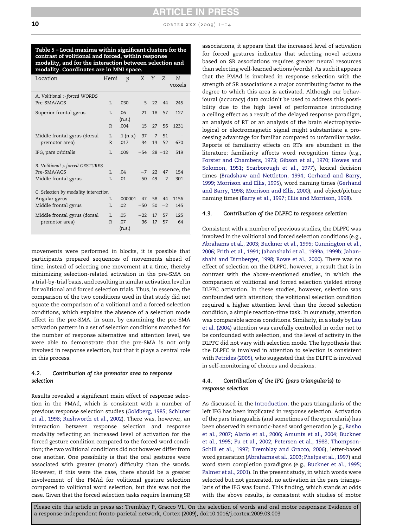**10 c** or t ex x x x (2009)  $I-I4$ 

#### Table 5 – Local maxima within significant clusters for the contrast of volitional and forced, within response modality, and for the interaction between selection and modality. Coordinates are in MNI space.

| Location                             | Hemi         | $\boldsymbol{p}$       |                | X Y Z           |      | N<br>voxels |
|--------------------------------------|--------------|------------------------|----------------|-----------------|------|-------------|
| A. Volitional > forced WORDS         |              |                        |                |                 |      |             |
| Pre-SMA/ACS                          | L            | .030                   |                | $-5$ 22 44      |      | 245         |
| Superior frontal gyrus               | L            | .06<br>(n.s.)          | $-21$          | 18              | 57   | 127         |
|                                      | $\mathbb{R}$ | .004                   | 15             | 27              | 56   | 1231        |
| Middle frontal gyrus (dorsal         | L            | $.1$ (n.s.) $-37$ 7 51 |                |                 |      |             |
| premotor area)                       | R            | .017                   | 34             | 13 <sup>7</sup> | 52   | 670         |
| IFG, pars orbitalis                  | L            | .009                   | $-54$ 28 $-12$ |                 |      | 519         |
| B. Volitional > forced GESTURES      |              |                        |                |                 |      |             |
| Pre-SMA/ACS                          | I.           | .04                    | $-7$           | 22              | 47   | 154         |
| Middle frontal gyrus                 | L            | .01                    | $-50$          | 49              | $-2$ | 301         |
| C. Selection by modality interaction |              |                        |                |                 |      |             |
| Angular gyrus                        | L            | $.000001 -47 -58$      |                |                 | 44   | 1156        |
| Middle frontal gyrus                 | L            | .02                    | $-50$          | 50              | $-2$ | 145         |
| Middle frontal gyrus (dorsal         | L.           | .05                    | $-22$          | 17              | 57   | 125         |
| premotor area)                       | R            | .07<br>(n.s.)          | 36             | 17              | 57   | 64          |

movements were performed in blocks, it is possible that participants prepared sequences of movements ahead of time, instead of selecting one movement at a time, thereby minimizing selection-related activation in the pre-SMA on a trial-by-trial basis, and resulting in similar activation level in for volitional and forced selection trials. Thus, in essence, the comparison of the two conditions used in that study did not equate the comparison of a volitional and a forced selection conditions, which explains the absence of a selection mode effect in the pre-SMA. In sum, by examining the pre-SMA activation pattern in a set of selection conditions matched for the number of response alternative and attention level, we were able to demonstrate that the pre-SMA is not only involved in response selection, but that it plays a central role in this process.

# 4.2. Contribution of the premotor area to response selection

<span id="page-9-0"></span>Results revealed a significant main effect of response selection in the PMAd, which is consistent with a number of previous response selection studies ([Goldberg, 1985;](#page-12-0) [Schluter](#page-13-0) [et al., 1998; Rushworth et al., 2002](#page-13-0)). There was, however, an interaction between response selection and response modality reflecting an increased level of activation for the forced gesture condition compared to the forced word condition; the two volitional conditions did not however differ from one another. One possibility is that the oral gestures were associated with greater (motor) difficulty than the words. However, if this were the case, there should be a greater involvement of the PMAd for volitional gesture selection compared to volitional word selection, but this was not the case. Given that the forced selection tasks require learning SR

associations, it appears that the increased level of activation for forced gestures indicates that selecting novel actions based on SR associations requires greater neural resources than selecting well-learned actions (words). As such it appears that the PMAd is involved in response selection with the strength of SR associations a major contributing factor to the degree to which this area is activated. Although our behavioural (accuracy) data couldn't be used to address this possibility due to the high level of performance introducing a ceiling effect as a result of the delayed response paradigm, an analysis of RT or an analysis of the brain electrophysiological or electromagnetic signal might substantiate a processing advantage for familiar compared to unfamiliar tasks. Reports of familiarity effects on RTs are abundant in the literature; familiarity affects word recognition times (e.g., [Forster and Chambers, 1973; Gibson et al., 1970; Howes and](#page-11-0) [Solomon, 1951; Scarborough et al., 1977](#page-11-0)), lexical decision times [\(Bradshaw and Nettleton, 1994; Gerhand and Barry,](#page-11-0) [1999; Morrison and Ellis, 1995](#page-11-0)), word naming times ([Gerhand](#page-12-0) [and Barry, 1998; Morrison and Ellis, 2000](#page-12-0)), and object/picture naming times [\(Barry et al., 1997; Ellis and Morrison, 1998\)](#page-11-0).

## 4.3. Contribution of the DLPFC to response selection

Consistent with a number of previous studies, the DLPFC was involved in the volitional and forced selection conditions (e.g., [Abrahams et al., 2003; Buckner et al., 1995; Cunnington et al.,](#page-11-0) [2006;](#page-11-0) [Frith et al., 1991](#page-12-0); [Jahanshahi et al., 1999a, 1999b; Jahan](#page-12-0)[shahi and Dirnberger, 1998; Rowe et al., 2000\)](#page-12-0). There was no effect of selection on the DLPFC, however, a result that is in contrast with the above-mentioned studies, in which the comparison of volitional and forced selection yielded strong DLPFC activation. In these studies, however, selection was confounded with attention; the volitional selection condition required a higher attention level than the forced selection condition, a simple reaction-time task. In our study, attention was comparable across conditions. Similarly, in a study by [Lau](#page-12-0) [et al. \(2004\)](#page-12-0) attention was carefully controlled in order not to be confounded with selection, and the level of activity in the DLPFC did not vary with selection mode. The hypothesis that the DLPFC is involved in attention to selection is consistent with [Petrides \(2005\)](#page-13-0), who suggested that the DLPFC is involved in self-monitoring of choices and decisions.

# 4.4. Contribution of the IFG (pars triangularis) to response selection

As discussed in the Introduction, the pars triangularis of the left IFG has been implicated in response selection. Activation of the pars triangualris (and sometimes of the opercularis) has been observed in semantic-based word generation (e.g., [Basho](#page-11-0) [et al., 2007; Alario et al., 2006; Amunts et al., 2004; Buckner](#page-11-0) [et al., 1995; Fu et al., 2002;](#page-11-0) [Petersen et al., 1988;](#page-13-0) [Thompson-](#page-13-0)[Schill et al., 1997; Tremblay and Gracco, 2006](#page-13-0)), letter-based word generation [\(Abrahams et al., 2003; Phelps et al., 1997](#page-11-0)) and word stem completion paradigms (e.g., [Buckner et al., 1995;](#page-11-0) [Palmer et al., 2001\)](#page-11-0). In the present study, in which words were selected but not generated, no activation in the pars triangularis of the IFG was found. This finding, which stands at odds with the above results, is consistent with studies of motor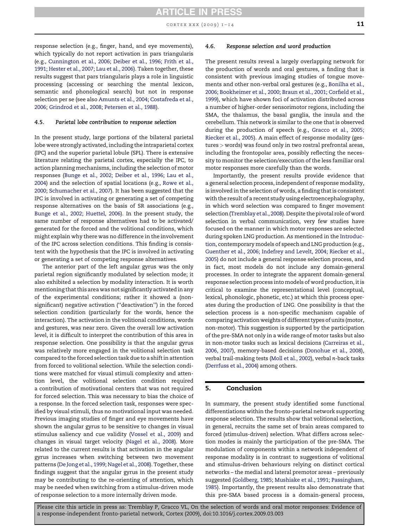$C$  ORTEX XXX (2009)  $I-I$  4

response selection (e.g., finger, hand, and eye movements), which typically do not report activation in pars triangularis (e.g., [Cunnington et al., 2006; Deiber et al., 1996; Frith et al.,](#page-11-0) [1991; Hester et al., 2007; Lau et al., 2006\)](#page-11-0). Taken together, these results suggest that pars triangularis plays a role in linguistic processing (accessing or searching the mental lexicon, semantic and phonological search) but not in response selection per se (see also [Amunts et al., 2004](#page-11-0); [Costafreda et al.,](#page-11-0) [2006; Grindrod et al., 2008;](#page-11-0) [Petersen et al., 1988](#page-13-0)).

#### 4.5. Parietal lobe contribution to response selection

In the present study, large portions of the bilateral parietal lobe were strongly activated, including the intraparietal cortex (IPC) and the superior parietal lobule (SPL). There is extensive literature relating the parietal cortex, especially the IPC, to action planning mechanisms, including the selection of motor responses ([Bunge et al., 2002; Deiber et al., 1996; Lau et al.,](#page-11-0) [2004](#page-11-0)) and the selection of spatial locations (e.g., [Rowe et al.,](#page-13-0) [2000; Schumacher et al., 2007\)](#page-13-0). It has been suggested that the IPC is involved in activating or generating a set of competing response alternatives on the basis of SR associations (e.g., [Bunge et al., 2002; Huettel, 2006](#page-11-0)). In the present study, the same number of response alternatives had to be activated/ generated for the forced and the volitional conditions, which might explain why there was no difference in the involvement of the IPC across selection conditions. This finding is consistent with the hypothesis that the IPC is involved in activating or generating a set of competing response alternatives.

The anterior part of the left angular gyrus was the only parietal region significantly modulated by selection mode; it also exhibited a selection by modality interaction. It is worth mentioning that this area was not significantly activated in any of the experimental conditions; rather it showed a (nonsignificant) negative activation (''deactivation'') in the forced selection condition (particularly for the words, hence the interaction). The activation in the volitional conditions, words and gestures, was near zero. Given the overall low activation level, it is difficult to interpret the contribution of this area in response selection. One possibility is that the angular gyrus was relatively more engaged in the volitional selection task compared to the forced selection task due to a shift in attention from forced to volitional selection. While the selection conditions were matched for visual stimuli complexity and attention level, the volitional selection condition required a contribution of motivational centers that was not required for forced selection. This was necessary to bias the choice of a response. In the forced selection task, responses were specified by visual stimuli, thus no motivational input was needed. Previous imaging studies of finger and eye movements have shown the angular gyrus to be sensitive to changes in visual stimulus saliency and cue validity ([Vossel et al., 2009\)](#page-13-0) and changes in visual target velocity [\(Nagel et al., 2008](#page-12-0)). More related to the current results is that activation in the angular gyrus increases when switching between two movement patterns ([De Jong et al., 1999; Nagel et al., 2008](#page-11-0)). Together, these findings suggest that the angular gyrus in the present study may be contributing to the re-orienting of attention, which may be needed when switching from a stimulus-driven mode of response selection to a more internally driven mode.

#### 4.6. Response selection and word production

The present results reveal a largely overlapping network for the production of words and oral gestures, a finding that is consistent with previous imaging studies of tongue movements and other non-verbal oral gestures (e.g., [Bonilha et al.,](#page-11-0) [2006; Bookheimer et al., 2000; Braun et al., 2001; Corfield et al.,](#page-11-0) [1999](#page-11-0)), which have shown foci of activation distributed across a number of higher-order sensorimotor regions, including the SMA, the thalamus, the basal ganglia, the insula and the cerebellum. This network is similar to the one that is observed during the production of speech (e.g., [Gracco et al., 2005;](#page-12-0) [Riecker et al., 2005\)](#page-12-0). A main effect of response modality (gestures > words) was found only in two rostral prefrontal areas, including the frontopolar area, possibly reflecting the necessity to monitor the selection/execution of the less familiar oral motor responses more carefully than the words.

Importantly, the present results provide evidence that a general selection process, independent of response modality, is involved in the selection of words, a finding that is consistent with the result of a recent study using electroencephalography, in which word selection was compared to finger movement selection [\(Tremblay et al., 2008\)](#page-13-0). Despite the pivotal role of word selection in verbal communication, very few studies have focused on the manner in which motor responses are selected during spoken LNG production. As mentioned in the Introduction, contemporary models of speech and LNG production (e.g., [Guenther et al., 2006; Indefrey and Levelt, 2004; Riecker et al.,](#page-12-0) [2005](#page-12-0)) do not include a general response selection process, and in fact, most models do not include any domain-general processes. In order to integrate the apparent domain-general response selection process into models of word production, it is critical to examine the representational level (conceptual, lexical, phonologic, phonetic, etc.) at which this process operates during the production of LNG. One possibility is that the selection process is a non-specific mechanism capable of comparing activation weights of different types of units (motor, non-motor). This suggestion is supported by the participation of the pre-SMA not only in a wide range of motor tasks but also in non-motor tasks such as lexical decisions [\(Carreiras et al.,](#page-11-0) [2006, 2007](#page-11-0)), memory-based decisions [\(Donohue et al., 2008](#page-11-0)), verbal trail-making tests [\(Moll et al., 2002](#page-12-0)), verbal n-back tasks [\(Derrfuss et al., 2004\)](#page-11-0) among others.

### 5. Conclusion

In summary, the present study identified some functional differentiations within the fronto-parietal network supporting response selection. The results show that volitional selection, in general, recruits the same set of brain areas compared to forced (stimulus-driven) selection. What differs across selection modes is mainly the participation of the pre-SMA. The modulation of components within a network independent of response modality is in contrast to suggestions of volitional and stimulus-driven behaviours relying on distinct cortical networks – the medial and lateral premotor areas – previously suggested [\(Goldberg, 1985; Mushiake et al., 1991; Passingham,](#page-12-0) [1985](#page-12-0)). Importantly, the present results also demonstrate that this pre-SMA based process is a domain-general process,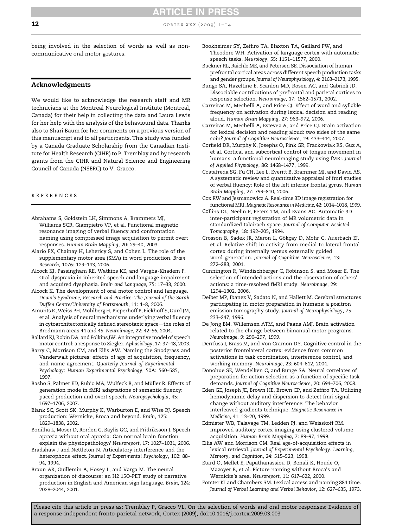**12 c** or t ex x x x (2009)  $I-I4$ 

being involved in the selection of words as well as noncommunicative oral motor gestures.

## Acknowledgments

We would like to acknowledge the research staff and MR technicians at the Montreal Neurological Institute (Montreal, Canada) for their help in collecting the data and Laura Lewis for her help with the analysis of the behavioural data. Thanks also to Shari Baum for her comments on a previous version of this manuscript and to all participants. This study was funded by a Canada Graduate Scholarship from the Canadian Institute for Health Research (CIHR) to P. Tremblay and by research grants from the CIHR and Natural Science and Engineering Council of Canada (NSERC) to V. Gracco.

#### references

- Abrahams S, Goldstein LH, Simmons A, Brammers MJ, Williams SCR, Giampietro VP, et al. Functional magnetic resonance imaging of verbal fluency and confrontation naming using compressed image acquisition to permit overt responses. Human Brain Mapping, 20: 29–40, 2003.
- Alario FX, Chainay H, Lehericy S, and Cohen L. The role of the supplementary motor area (SMA) in word production. Brain Research, 1076: 129–143, 2006.
- Alcock KJ, Passingham RE, Watkins KE, and Vargha-Khadem F. Oral dyspraxia in inherited speech and language impairment and acquired dysphasia. Brain and Language, 75: 17–33, 2000.
- Alcock K. The development of oral motor control and language. Down's Syndrome, Research and Practice: The Journal of the Sarah Duffen Centre/University of Portsmouth, 11: 1–8, 2006.
- Amunts K, Weiss PH, Mohlberg H, Pieperhoff P, Eickhoff S, Gurd JM, et al. Analysis of neural mechanisms underlying verbal fluency in cytoarchitectonically defined stereotaxic space-the roles of Brodmann areas 44 and 45. Neuroimage, 22: 42–56, 2004.
- Ballard KJ, Robin DA, and Folkins JW. An integrative model of speech motor control: a response to Ziegler. Aphasiology, 17: 37–48, 2003.
- Barry C, Morrison CM, and Ellis AW. Naming the Snodgrass and Vanderwalt pictures: effects of age of acquisition, frequency, and name agreement. Quarterly Journal of Experimental Psychology: Human Experimental Psychology, 50A: 560–585, 1997.
- Basho S, Palmer ED, Rubio MA, Wulfeck B, and Müller R. Effects of generation mode in fMRI adaptations of semantic fluency: paced production and overt speech. Neuropsychologia, 45: 1697–1706, 2007.
- Blank SC, Scott SK, Murphy K, Warburton E, and Wise RJ. Speech production: Wernicke, Broca and beyond. Brain, 125: 1829–1838, 2002.
- Bonilha L, Moser D, Rorden C, Baylis GC, and Fridriksson J. Speech apraxia without oral apraxia: Can normal brain function explain the physiopathology? Neuroreport, 17: 1027–1031, 2006.
- Bradshaw J and Nettleton N. Articulatory interference and the heterophone effect. Journal of Experimental Psychology, 102: 88– 94, 1994.
- <span id="page-11-0"></span>Braun AR, Guillemin A, Hosey L, and Varga M. The neural organization of discourse: an H2 15O-PET study of narrative production in English and American sign language. Brain, 124: 2028–2044, 2001.
- Bookheimer SY, Zeffiro TA, Blaxton TA, Gaillard PW, and Theodore WH. Activation of language cortex with automatic speech tasks. Neurology, 55: 1151–11577, 2000.
- Buckner RL, Raichle ME, and Petersen SE. Dissociation of human prefrontal cortical areas across different speech production tasks and gender groups. Journal of Neurophysiology, 4: 2163–2173, 1995.
- Bunge SA, Hazeltine E, Scanlon MD, Rosen AC, and Gabrieli JD. Dissociable contributions of prefrontal and parietal cortices to response selection. Neuroimage, 17: 1562–1571, 2002.
- Carreiras M, Mechelli A, and Price CJ. Effect of word and syllable frequency on activation during lexical decision and reading aloud. Human Brain Mapping, 27: 963–972, 2006.
- Carreiras M, Mechelli A, Estevez A, and Price CJ. Brain activation for lexical decision and reading aloud: two sides of the same coin? Journal of Cognitive Neuroscience, 19: 433–444, 2007.
- Corfield DR, Murphy K, Josephs O, Fink GR, Frackowiak RS, Guz A, et al. Cortical and subcortical control of tongue movement in humans: a functional neuroimaging study using fMRI. Journal of Applied Physiology, 86: 1468–1477, 1999.
- Costafreda SG, Fu CH, Lee L, Everitt B, Brammer MJ, and David AS. A systematic review and quantitative appraisal of fmri studies of verbal fluency: Role of the left inferior frontal gyrus. Human Brain Mapping, 27: 799–810, 2006.
- Cox RW and Jesmanowicz A. Real-time 3D image registration for functional MRI. Magnetic Resonance in Medicine, 42: 1014–1018, 1999.
- Collins DL, Neelin P, Peters TM, and Evans AC. Automatic 3D inter-participant registration of MR volumetric data in standardized talairach space. Journal of Computer Assisted Tomography, 18: 192–205, 1994.
- Crosson B, Sadek JR, Maron L, Gökçay D, Mohr C, Auerbach EJ, et al. Relative shift in activity from medial to lateral frontal cortex during internally versus externally guided word generation. Journal of Cognitive Neuroscience, 13: 272–283, 2001.
- Cunnington R, Windischberger C, Robinson S, and Moser E. The selection of intended actions and the observation of others' actions: a time-resolved fMRI study. Neuroimage, 29: 1294–1302, 2006.
- Deiber MP, Ibanez V, Sadato N, and Hallett M. Cerebral structures participating in motor preparation in humans: a positron emission tomography study. Journal of Neurophysiology, 75: 233–247, 1996.
- De Jong BM, Willemsen ATM, and Paans AMJ. Brain activation related to the change between bimanual motor programs. NeuroImage, 9: 290–297, 1999.
- Derrfuss J, Brass M, and Von Cramon DY. Cognitive control in the posterior frontolateral cortex: evidence from common activations in task coordination, interference control, and working memory. Neuroimage, 23: 604–612, 2004.
- Donohue SE, Wendelken C, and Bunge SA. Neural correlates of preparation for action selection as a function of specific task demands. Journal of Cognitive Neuroscience, 20: 694–706, 2008.
- Eden GE, Joseph JE, Brown HE, Brown CP, and Zeffiro TA. Utilizing hemodynamic delay and dispersion to detect fmri signal change without auditory interference: The behavior interleaved gradients technique. Magnetic Resonance in Medicine, 41: 13–20, 1999.
- Edmister WB, Talavage TM, Ledden PJ, and Weisskoff RM. Improved auditory cortex imaging using clustered volume acquisition. Human Brain Mapping, 7: 89–97, 1999.
- Ellis AW and Morrison CM. Real age-of-acquisition effects in lexical retrieval. Journal of Experimental Psychology. Learning, Memory, and Cognition, 24: 515–523, 1998.
- Etard O, Mellet E, Papathanassiou D, Benali K, Houde O, Mazoyer B, et al. Picture naming without Broca's and Wernicke's area. Neuroreport, 11: 617–622, 2000.
- Forster KI and Chambers SM. Lexical access and naming 884 time. Journal of Verbal Learning and Verbal Behavior, 12: 627–635, 1973.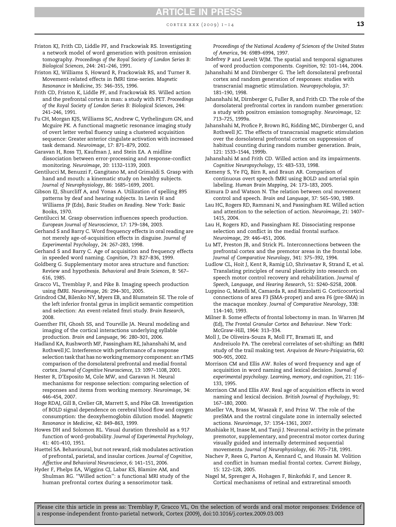#### $C$  ORTEX XXX (2009)  $I-I$  4 13

- Friston KJ, Frith CD, Liddle PF, and Frackowiak RS. Investigating a network model of word generation with positron emission tomography. Proceedings of the Royal Society of London Series B: Biological Sciences, 244: 241–246, 1991.
- Friston KJ, Williams S, Howard R, Frackowiak RS, and Turner R. Movement-related effects in fMRI time-series. Magnetic Resonance in Medicine, 35: 346–355, 1996.
- Frith CD, Friston K, Liddle PF, and Frackowiak RS. Willed action and the prefrontal cortex in man: a study with PET. Proceedings of the Royal Society of London Series B: Biological Sciences, 244: 241–246, 1991.
- Fu CH, Morgan KJS, Williams SC, Andrew C, Vythelingum GN, and Mcguire PK. A functional magnetic resonance imaging study of overt letter verbal fluency using a clustered acquisition sequence: Greater anterior cingulate activation with increased task demand. Neuroimage, 17: 871–879, 2002.
- Garavan H, Ross TJ, Kaufman J, and Stein EA. A midline dissociation between error-processing and response-conflict monitoring. Neuroimage, 20: 1132–1139, 2003.
- Gentilucci M, Benuzzi F, Gangitano M, and Grimaldi S. Grasp with hand and mouth: a kinematic study on healthy subjects. Journal of Neurophysiology, 86: 1685–1699, 2001.
- Gibson EJ, Shurcliff A, and Yonas A. Utilization of spelling 895 patterns by deaf and hearing subjects. In Levin H and Williams JP (Eds), Basic Studies on Reading. New York: Basic Books, 1970.
- Gentilucci M. Grasp observation influences speech production. European Journal of Neuroscience, 17: 179–184, 2003.
- Gerhand S and Barry C. Word frequency effects in oral reading are not merely age-of-acquisition effects in disguise. Journal of Experimental Psychology, 24: 267–283, 1998.
- Gerhand S and Barry C. Age of acquisition and frequency effects in speeded word naming. Cognition, 73: B27–B36, 1999.
- Goldberg G. Supplementary motor area structure and function: Review and hypothesis. Behavioral and Brain Sciences, 8: 567– 616, 1985.
- Gracco VL, Tremblay P, and Pike B. Imaging speech production using fMRI. Neuroimage, 26: 294–301, 2005.
- Grindrod CM, Bilenko NY, Myers EB, and Blumstein SE. The role of the left inferior frontal gyrus in implicit semantic competition and selection: An event-related fmri study. Brain Research, 2008.
- Guenther FH, Ghosh SS, and Tourville JA. Neural modeling and imaging of the cortical interactions underlying syllable production. Brain and Language, 96: 280–301, 2006.
- Hadland KA, Rushworth MF, Passingham RE, Jahanshahi M, and Rothwell JC. Interference with performance of a response selection task that has no workingmemory component: an rTMS comparison of the dorsolateral prefrontal and medial frontal cortex. Journal of Cognitive Neuroscience, 13: 1097–1108, 2001.
- Hester R, D'Esposito M, Cole MW, and Garavan H. Neural mechanisms for response selection: comparing selection of responses and items from working memory. Neuroimage, 34: 446–454, 2007.
- Hoge RDAJ, Gill B, Crelier GR, Marrett S, and Pike GB. Investigation of BOLD signal dependence on cerebral blood flow and oxygen consumption: the deoxyhemoglobin dilution model. Magnetic Resonance in Medicine, 42: 849–863, 1999.
- Howes DH and Solomon RL. Visual duration threshold as a 917 function of word-probability. Journal of Experimental Psychology, 41: 401–410, 1951.
- Huettel SA. Behavioural, but not reward, risk modulates activation of prefrontal, parietal, and insular cortices. Journal of Cognitive, Affective and Behavioral Neuroscience, 6: 141–151, 2006.
- <span id="page-12-0"></span>Hyder F, Phelps EA, Wiggins CJ, Labar KS, Blamire AM, and Shulman RG. ''Willed action'': a functional MRI study of the human prefrontal cortex during a sensorimotor task.

Proceedings of the National Academy of Sciences of the United States of America, 94: 6989–6994, 1997.

- Indefrey P and Levelt WJM. The spatial and temporal signatures of word production components. Cognition, 92: 101–144, 2004.
- Jahanshahi M and Dirnberger G. The left dorsolateral prefrontal cortex and random generation of responses: studies with transcranial magnetic stimulation. Neuropsychologia, 37: 181–190, 1998.
- Jahanshahi M, Dirnberger G, Fuller R, and Frith CD. The role of the dorsolateral prefrontal cortex in random number generation: a study with positron emission tomography. Neuroimage, 12: 713–725, 1999a.
- Jahanshahi M, Profice P, Brown RG, Ridding MC, Dirnberger G, and Rothwell JC. The effects of transcranial magnetic stimulation over the dorsolateral prefrontal cortex on suppression of habitual counting during random number generation. Brain, 121: 1533–1544, 1999b.
- Jahanshahi M and Frith CD. Willed action and its impairments. Cognitive Neuropsychology, 15: 483–533, 1998.
- Kemeny S, Ye FQ, Birn R, and Braun AR. Comparison of continuous overt speech fMRI using BOLD and arterial spin labeling. Human Brain Mapping, 24: 173–183, 2005.
- Kimura D and Watson N. The relation between oral movement control and speech. Brain and Language, 37: 565–590, 1989.
- Lau HC, Rogers RD, Ramnani N, and Passingham RE. Willed action and attention to the selection of action. Neuroimage, 21: 1407– 1415, 2004.
- Lau H, Rogers RD, and Passingham RE. Dissociating response selection and conflict in the medial frontal surface. Neuroimage, 29: 446–451, 2006.
- Lu MT, Preston JB, and Strick PL. Interconnections between the prefrontal cortex and the premotor areas in the frontal lobe. Journal of Comparative Neurology, 341: 375–392, 1994.
- Ludlow CL, Hoit J, Kent R, Ramig LO, Shrivastav R, Strand E, et al. Translating principles of neural plasticity into research on speech motor control recovery and rehabilitation. Journal of Speech, Language, and Hearing Research, 51: S240–S258, 2008.
- Luppino G, Matelli M, Camarda R, and Rizzolatti G. Corticocortical connections of area F3 (SMA-proper) and area F6 (pre-SMA) in the macaque monkey. Journal of Comparative Neurology, 338: 114–140, 1993.
- Milner B. Some effects of frontal lobectomy in man. In Warren JM (Ed), The Frontal Granular Cortex and Behaviour. New York: McGraw-Hill, 1964: 313–334.
- Moll J, De Oliveira-Souza R, Moll FT, Bramati IE, and Andreiuolo PA. The cerebral correlates of set-shifting: an fMRI study of the trail making test. Arquivos de Neuro-Psiquiatria, 60: 900–905, 2002.
- Morrison CM and Ellis AW. Roles of word frequency and age of acquisition in word naming and lexical decision. Journal of experimental psychology. Learning, memory, and cognition, 21: 116– 133, 1995.
- Morrison CM and Ellis AW. Real age of acquisition effects in word naming and lexical decision. British Journal of Psychology, 91: 167–180, 2000.
- Mueller VA, Brass M, Waszak F, and Prinz W. The role of the preSMA and the rostral cingulate zone in internally selected actions. Neuroimage, 37: 1354–1361, 2007.
- Mushiake H, Inase M, and Tanji J. Neuronal activity in the primate premotor, supplementary, and precentral motor cortex during visually guided and internally determined sequential movements. Journal of Neurophysiology, 66: 705–718, 1991.
- Nachev P, Rees G, Parton A, Kennard C, and Husain M. Volition and conflict in human medial frontal cortex. Current Biology, 15: 122–128, 2005.
- Nagel M, Sprenger A, Hohagen F, Binkofski F, and Lencer R. Cortical mechanisms of retinal and extraretinal smooth